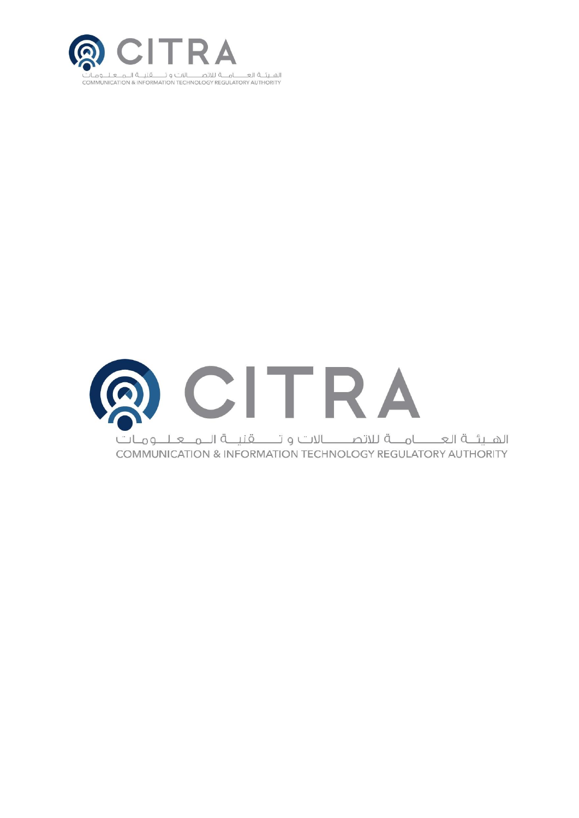

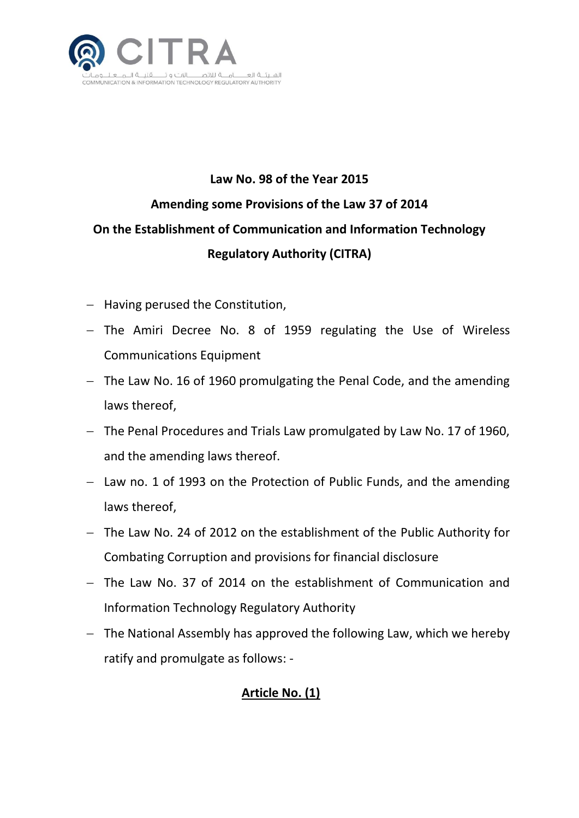

## **Law No. 98 of the Year 2015 Amending some Provisions of the Law 37 of 2014 On the Establishment of Communication and Information Technology Regulatory Authority (CITRA)**

- $-$  Having perused the Constitution,
- $-$  The Amiri Decree No. 8 of 1959 regulating the Use of Wireless Communications Equipment
- The Law No. 16 of 1960 promulgating the Penal Code, and the amending laws thereof,
- The Penal Procedures and Trials Law promulgated by Law No. 17 of 1960, and the amending laws thereof.
- $-$  Law no. 1 of 1993 on the Protection of Public Funds, and the amending laws thereof,
- The Law No. 24 of 2012 on the establishment of the Public Authority for Combating Corruption and provisions for financial disclosure
- The Law No. 37 of 2014 on the establishment of Communication and Information Technology Regulatory Authority
- $-$  The National Assembly has approved the following Law, which we hereby ratify and promulgate as follows: -

### **Article No. (1)**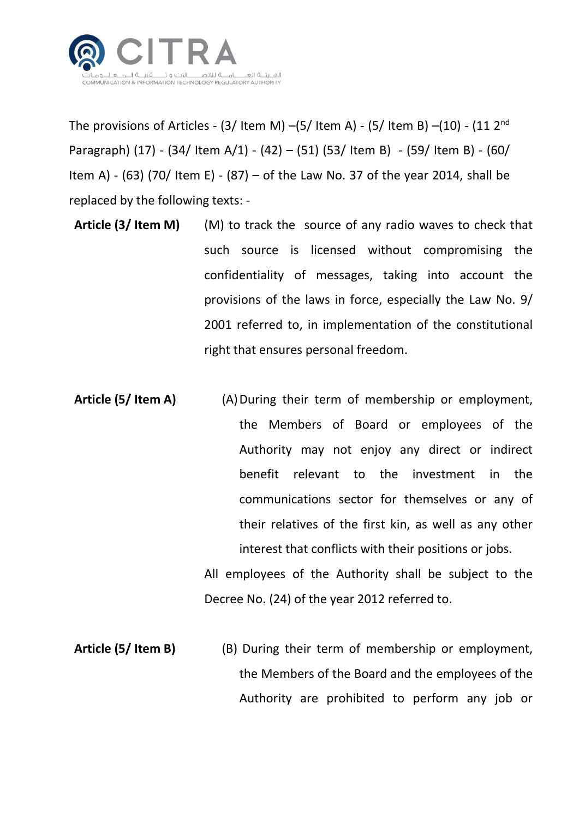

The provisions of Articles - (3/ Item M) –(5/ Item A) - (5/ Item B) –(10) - (11  $2<sup>nd</sup>$ Paragraph) (17) - (34/ Item A/1) - (42) – (51) (53/ Item B) - (59/ Item B) - (60/ Item A) - (63) (70/ Item E) - (87) – of the Law No. 37 of the year 2014, shall be replaced by the following texts: -

- **Article (3/ Item M)** (M) to track the source of any radio waves to check that such source is licensed without compromising the confidentiality of messages, taking into account the provisions of the laws in force, especially the Law No. 9/ 2001 referred to, in implementation of the constitutional right that ensures personal freedom.
- **Article (5/ Item A) (A) During their term of membership or employment,** the Members of Board or employees of the Authority may not enjoy any direct or indirect benefit relevant to the investment in the communications sector for themselves or any of their relatives of the first kin, as well as any other interest that conflicts with their positions or jobs. All employees of the Authority shall be subject to the

Decree No. (24) of the year 2012 referred to.

**Article (5/ Item B)** (B) During their term of membership or employment, the Members of the Board and the employees of the Authority are prohibited to perform any job or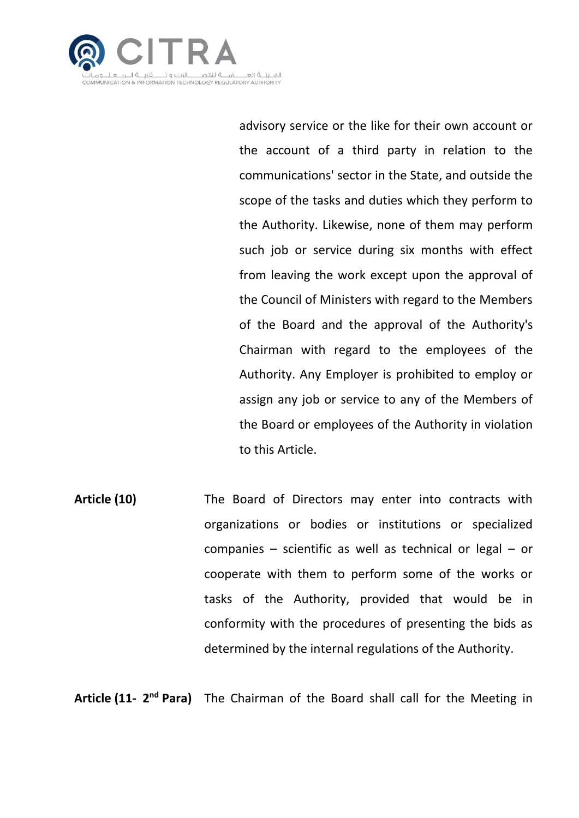

advisory service or the like for their own account or the account of a third party in relation to the communications' sector in the State, and outside the scope of the tasks and duties which they perform to the Authority. Likewise, none of them may perform such job or service during six months with effect from leaving the work except upon the approval of the Council of Ministers with regard to the Members of the Board and the approval of the Authority's Chairman with regard to the employees of the Authority. Any Employer is prohibited to employ or assign any job or service to any of the Members of the Board or employees of the Authority in violation to this Article.

**Article (10)** The Board of Directors may enter into contracts with organizations or bodies or institutions or specialized companies – scientific as well as technical or legal – or cooperate with them to perform some of the works or tasks of the Authority, provided that would be in conformity with the procedures of presenting the bids as determined by the internal regulations of the Authority.

Article (11- 2<sup>nd</sup> Para) The Chairman of the Board shall call for the Meeting in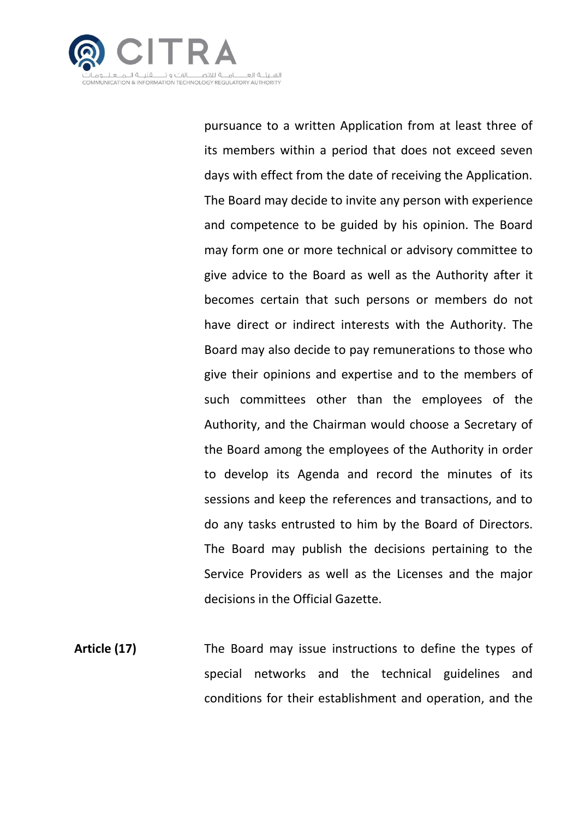

pursuance to a written Application from at least three of its members within a period that does not exceed seven days with effect from the date of receiving the Application. The Board may decide to invite any person with experience and competence to be guided by his opinion. The Board may form one or more technical or advisory committee to give advice to the Board as well as the Authority after it becomes certain that such persons or members do not have direct or indirect interests with the Authority. The Board may also decide to pay remunerations to those who give their opinions and expertise and to the members of such committees other than the employees of the Authority, and the Chairman would choose a Secretary of the Board among the employees of the Authority in order to develop its Agenda and record the minutes of its sessions and keep the references and transactions, and to do any tasks entrusted to him by the Board of Directors. The Board may publish the decisions pertaining to the Service Providers as well as the Licenses and the major decisions in the Official Gazette.

**Article (17)** The Board may issue instructions to define the types of special networks and the technical guidelines and conditions for their establishment and operation, and the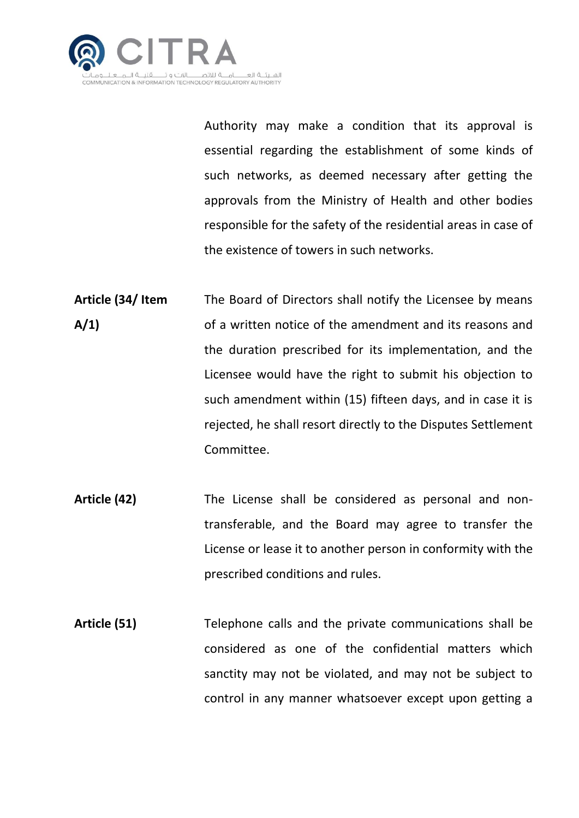

Authority may make a condition that its approval is essential regarding the establishment of some kinds of such networks, as deemed necessary after getting the approvals from the Ministry of Health and other bodies responsible for the safety of the residential areas in case of the existence of towers in such networks.

- **Article (34/ Item A/1)** The Board of Directors shall notify the Licensee by means of a written notice of the amendment and its reasons and the duration prescribed for its implementation, and the Licensee would have the right to submit his objection to such amendment within (15) fifteen days, and in case it is rejected, he shall resort directly to the Disputes Settlement Committee.
- **Article (42)** The License shall be considered as personal and nontransferable, and the Board may agree to transfer the License or lease it to another person in conformity with the prescribed conditions and rules.
- **Article (51)** Telephone calls and the private communications shall be considered as one of the confidential matters which sanctity may not be violated, and may not be subject to control in any manner whatsoever except upon getting a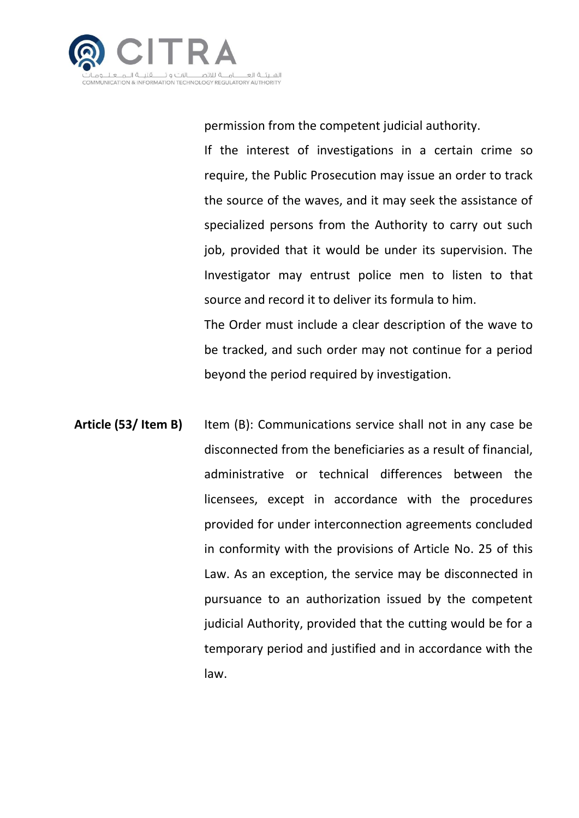

permission from the competent judicial authority.

If the interest of investigations in a certain crime so require, the Public Prosecution may issue an order to track the source of the waves, and it may seek the assistance of specialized persons from the Authority to carry out such job, provided that it would be under its supervision. The Investigator may entrust police men to listen to that source and record it to deliver its formula to him.

The Order must include a clear description of the wave to be tracked, and such order may not continue for a period beyond the period required by investigation.

**Article (53/ Item B)** Item (B): Communications service shall not in any case be disconnected from the beneficiaries as a result of financial, administrative or technical differences between the licensees, except in accordance with the procedures provided for under interconnection agreements concluded in conformity with the provisions of Article No. 25 of this Law. As an exception, the service may be disconnected in pursuance to an authorization issued by the competent judicial Authority, provided that the cutting would be for a temporary period and justified and in accordance with the law.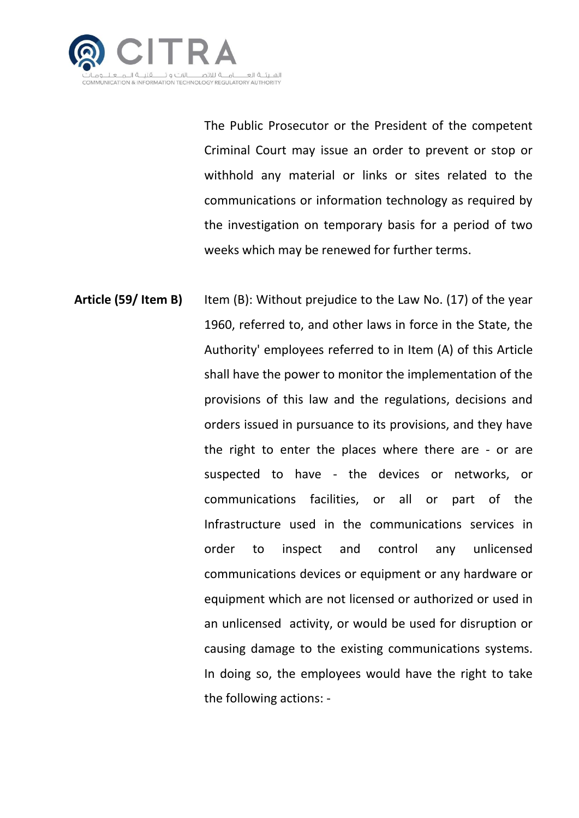

The Public Prosecutor or the President of the competent Criminal Court may issue an order to prevent or stop or withhold any material or links or sites related to the communications or information technology as required by the investigation on temporary basis for a period of two weeks which may be renewed for further terms.

**Article (59/ Item B)** Item (B): Without prejudice to the Law No. (17) of the year 1960, referred to, and other laws in force in the State, the Authority' employees referred to in Item (A) of this Article shall have the power to monitor the implementation of the provisions of this law and the regulations, decisions and orders issued in pursuance to its provisions, and they have the right to enter the places where there are - or are suspected to have - the devices or networks, or communications facilities, or all or part of the Infrastructure used in the communications services in order to inspect and control any unlicensed communications devices or equipment or any hardware or equipment which are not licensed or authorized or used in an unlicensed activity, or would be used for disruption or causing damage to the existing communications systems. In doing so, the employees would have the right to take the following actions: -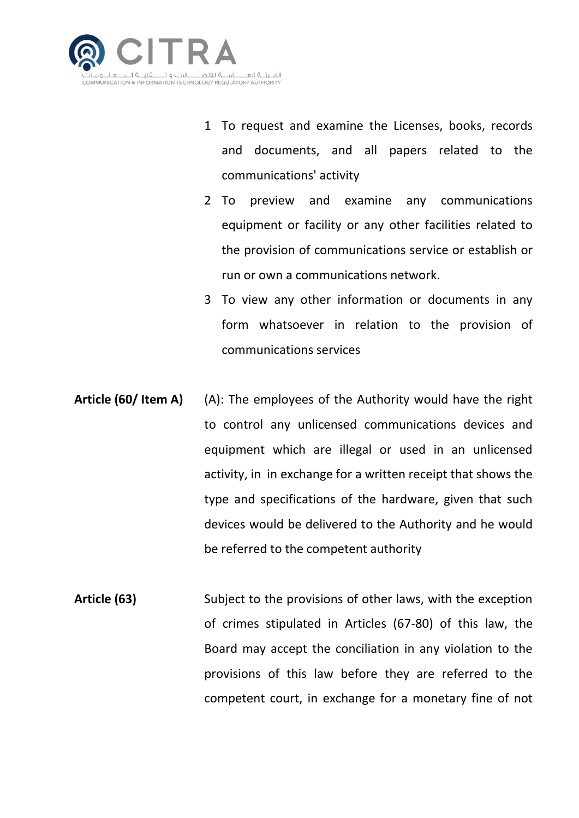

- 1 To request and examine the Licenses, books, records and documents, and all papers related to the communications' activity
- 2 To preview and examine any communications equipment or facility or any other facilities related to the provision of communications service or establish or run or own a communications network.
- 3 To view any other information or documents in any form whatsoever in relation to the provision of communications services
- **Article (60/ Item A)** (A): The employees of the Authority would have the right to control any unlicensed communications devices and equipment which are illegal or used in an unlicensed activity, in in exchange for a written receipt that shows the type and specifications of the hardware, given that such devices would be delivered to the Authority and he would be referred to the competent authority
- Article (63) Subject to the provisions of other laws, with the exception of crimes stipulated in Articles (67-80) of this law, the Board may accept the conciliation in any violation to the provisions of this law before they are referred to the competent court, in exchange for a monetary fine of not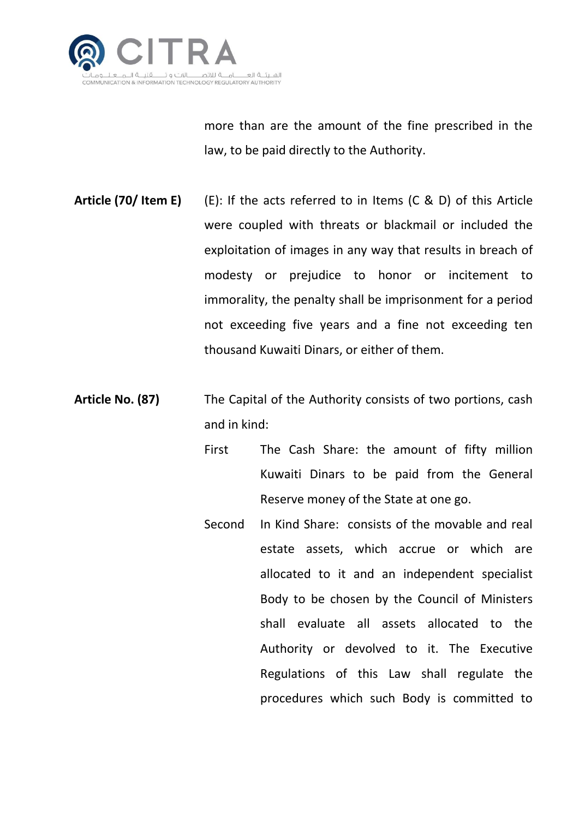

more than are the amount of the fine prescribed in the law, to be paid directly to the Authority.

- **Article (70/ Item E)** (E): If the acts referred to in Items (C & D) of this Article were coupled with threats or blackmail or included the exploitation of images in any way that results in breach of modesty or prejudice to honor or incitement to immorality, the penalty shall be imprisonment for a period not exceeding five years and a fine not exceeding ten thousand Kuwaiti Dinars, or either of them.
- **Article No. (87)** The Capital of the Authority consists of two portions, cash and in kind:
	- First The Cash Share: the amount of fifty million Kuwaiti Dinars to be paid from the General Reserve money of the State at one go.
	- Second In Kind Share: consists of the movable and real estate assets, which accrue or which are allocated to it and an independent specialist Body to be chosen by the Council of Ministers shall evaluate all assets allocated to the Authority or devolved to it. The Executive Regulations of this Law shall regulate the procedures which such Body is committed to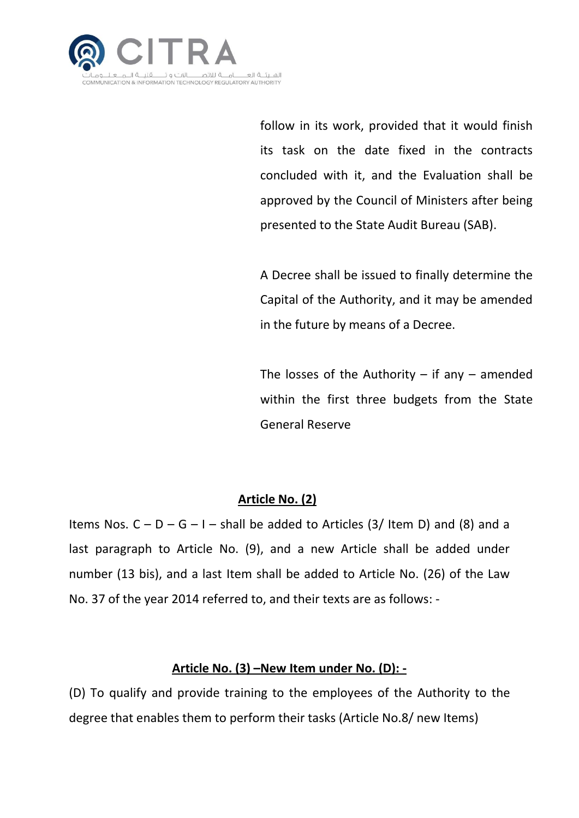

follow in its work, provided that it would finish its task on the date fixed in the contracts concluded with it, and the Evaluation shall be approved by the Council of Ministers after being presented to the State Audit Bureau (SAB).

A Decree shall be issued to finally determine the Capital of the Authority, and it may be amended in the future by means of a Decree.

The losses of the Authority  $-$  if any  $-$  amended within the first three budgets from the State General Reserve

### **Article No. (2)**

Items Nos.  $C - D - G - I -$  shall be added to Articles (3/ Item D) and (8) and a last paragraph to Article No. (9), and a new Article shall be added under number (13 bis), and a last Item shall be added to Article No. (26) of the Law No. 37 of the year 2014 referred to, and their texts are as follows: -

#### **Article No. (3) –New Item under No. (D): -**

(D) To qualify and provide training to the employees of the Authority to the degree that enables them to perform their tasks (Article No.8/ new Items)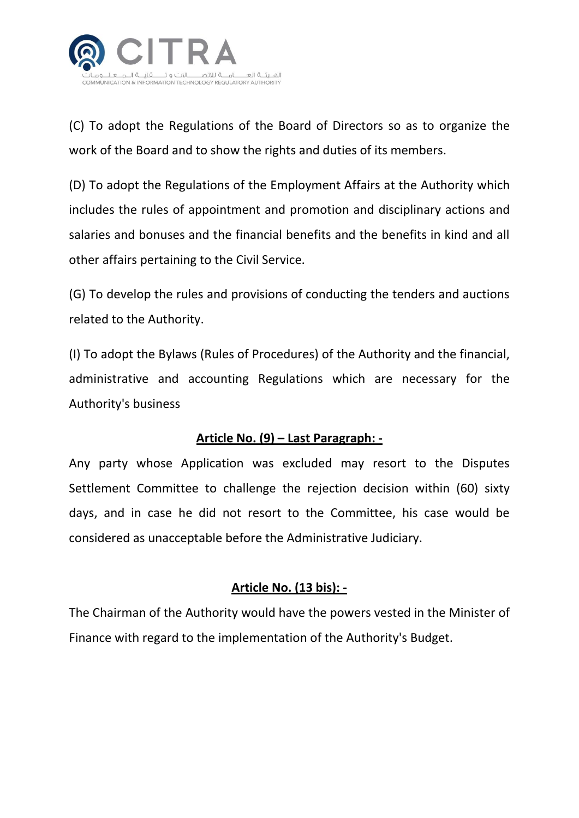

(C) To adopt the Regulations of the Board of Directors so as to organize the work of the Board and to show the rights and duties of its members.

(D) To adopt the Regulations of the Employment Affairs at the Authority which includes the rules of appointment and promotion and disciplinary actions and salaries and bonuses and the financial benefits and the benefits in kind and all other affairs pertaining to the Civil Service.

(G) To develop the rules and provisions of conducting the tenders and auctions related to the Authority.

(I) To adopt the Bylaws (Rules of Procedures) of the Authority and the financial, administrative and accounting Regulations which are necessary for the Authority's business

### **Article No. (9) – Last Paragraph: -**

Any party whose Application was excluded may resort to the Disputes Settlement Committee to challenge the rejection decision within (60) sixty days, and in case he did not resort to the Committee, his case would be considered as unacceptable before the Administrative Judiciary.

### **Article No. (13 bis): -**

The Chairman of the Authority would have the powers vested in the Minister of Finance with regard to the implementation of the Authority's Budget.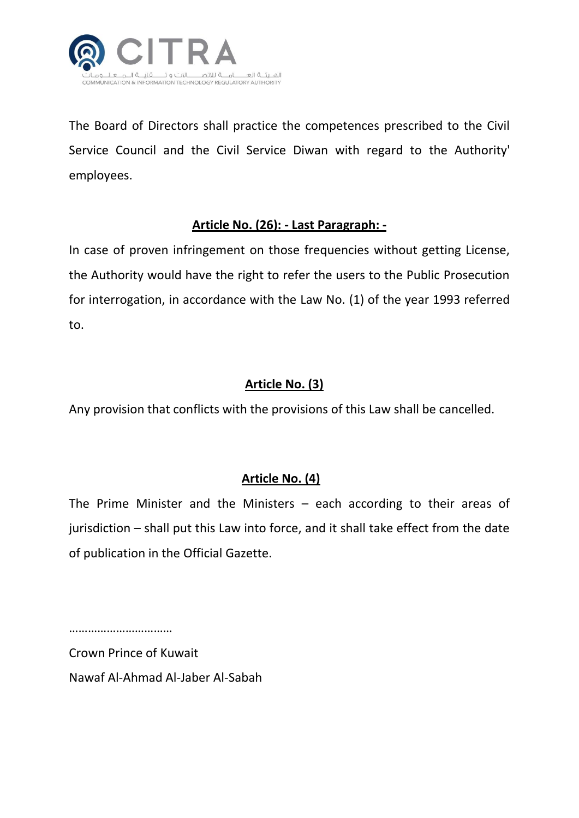

The Board of Directors shall practice the competences prescribed to the Civil Service Council and the Civil Service Diwan with regard to the Authority' employees.

#### **Article No. (26): - Last Paragraph: -**

In case of proven infringement on those frequencies without getting License, the Authority would have the right to refer the users to the Public Prosecution for interrogation, in accordance with the Law No. (1) of the year 1993 referred to.

#### **Article No. (3)**

Any provision that conflicts with the provisions of this Law shall be cancelled.

#### **Article No. (4)**

The Prime Minister and the Ministers – each according to their areas of jurisdiction – shall put this Law into force, and it shall take effect from the date of publication in the Official Gazette.

……………………………………

Crown Prince of Kuwait Nawaf Al-Ahmad Al-Jaber Al-Sabah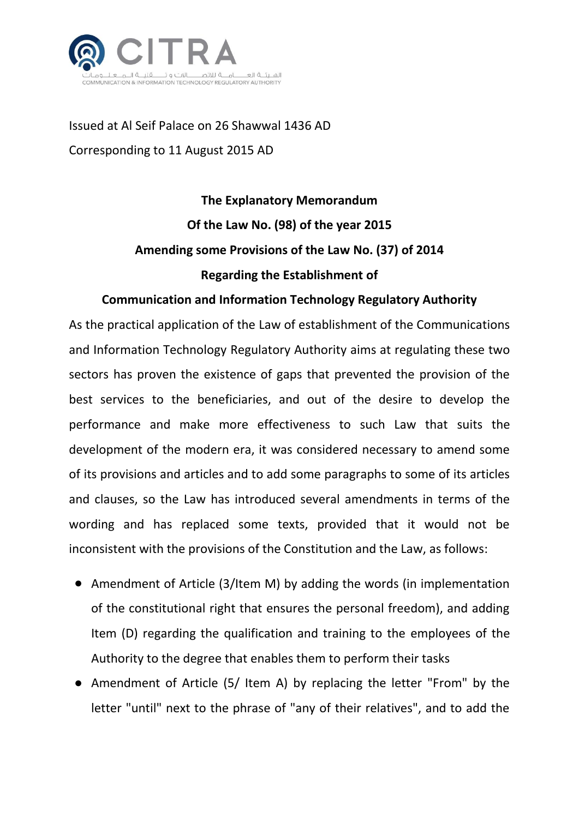

Issued at Al Seif Palace on 26 Shawwal 1436 AD Corresponding to 11 August 2015 AD

# **The Explanatory Memorandum Of the Law No. (98) of the year 2015 Amending some Provisions of the Law No. (37) of 2014 Regarding the Establishment of**

#### **Communication and Information Technology Regulatory Authority**

As the practical application of the Law of establishment of the Communications and Information Technology Regulatory Authority aims at regulating these two sectors has proven the existence of gaps that prevented the provision of the best services to the beneficiaries, and out of the desire to develop the performance and make more effectiveness to such Law that suits the development of the modern era, it was considered necessary to amend some of its provisions and articles and to add some paragraphs to some of its articles and clauses, so the Law has introduced several amendments in terms of the wording and has replaced some texts, provided that it would not be inconsistent with the provisions of the Constitution and the Law, as follows:

- Amendment of Article (3/Item M) by adding the words (in implementation of the constitutional right that ensures the personal freedom), and adding Item (D) regarding the qualification and training to the employees of the Authority to the degree that enables them to perform their tasks
- Amendment of Article (5/ Item A) by replacing the letter "From" by the letter "until" next to the phrase of "any of their relatives", and to add the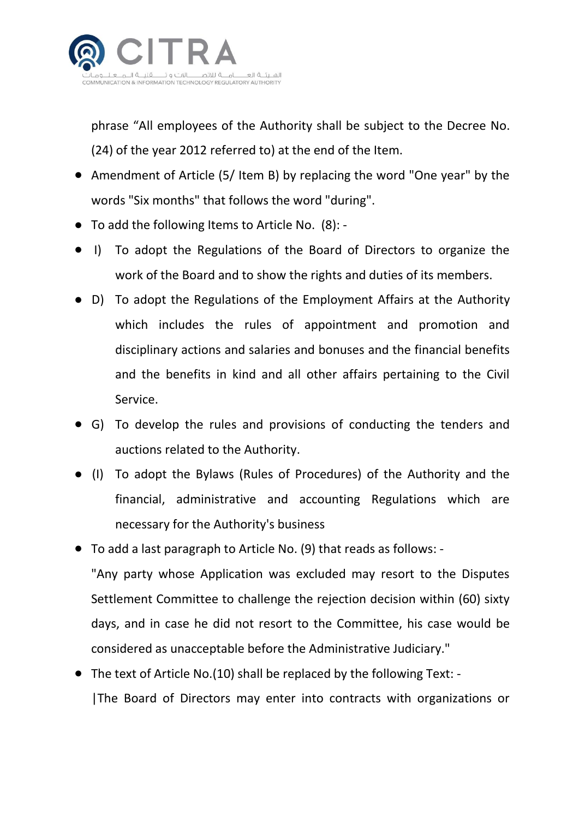

phrase "All employees of the Authority shall be subject to the Decree No. (24) of the year 2012 referred to) at the end of the Item.

- Amendment of Article (5/ Item B) by replacing the word "One year" by the words "Six months" that follows the word "during".
- To add the following Items to Article No. (8): -
- I) To adopt the Regulations of the Board of Directors to organize the work of the Board and to show the rights and duties of its members.
- D) To adopt the Regulations of the Employment Affairs at the Authority which includes the rules of appointment and promotion and disciplinary actions and salaries and bonuses and the financial benefits and the benefits in kind and all other affairs pertaining to the Civil Service.
- G) To develop the rules and provisions of conducting the tenders and auctions related to the Authority.
- (I) To adopt the Bylaws (Rules of Procedures) of the Authority and the financial, administrative and accounting Regulations which are necessary for the Authority's business
- To add a last paragraph to Article No. (9) that reads as follows: "Any party whose Application was excluded may resort to the Disputes Settlement Committee to challenge the rejection decision within (60) sixty days, and in case he did not resort to the Committee, his case would be considered as unacceptable before the Administrative Judiciary."
- The text of Article No.(10) shall be replaced by the following Text: -|The Board of Directors may enter into contracts with organizations or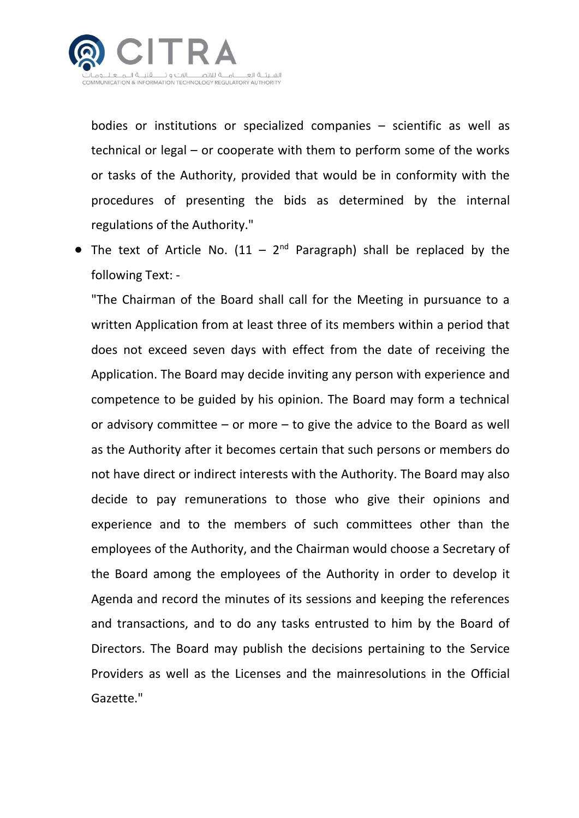

bodies or institutions or specialized companies – scientific as well as technical or legal – or cooperate with them to perform some of the works or tasks of the Authority, provided that would be in conformity with the procedures of presenting the bids as determined by the internal regulations of the Authority."

• The text of Article No.  $(11 - 2<sup>nd</sup>$  Paragraph) shall be replaced by the following Text: -

"The Chairman of the Board shall call for the Meeting in pursuance to a written Application from at least three of its members within a period that does not exceed seven days with effect from the date of receiving the Application. The Board may decide inviting any person with experience and competence to be guided by his opinion. The Board may form a technical or advisory committee – or more – to give the advice to the Board as well as the Authority after it becomes certain that such persons or members do not have direct or indirect interests with the Authority. The Board may also decide to pay remunerations to those who give their opinions and experience and to the members of such committees other than the employees of the Authority, and the Chairman would choose a Secretary of the Board among the employees of the Authority in order to develop it Agenda and record the minutes of its sessions and keeping the references and transactions, and to do any tasks entrusted to him by the Board of Directors. The Board may publish the decisions pertaining to the Service Providers as well as the Licenses and the mainresolutions in the Official Gazette."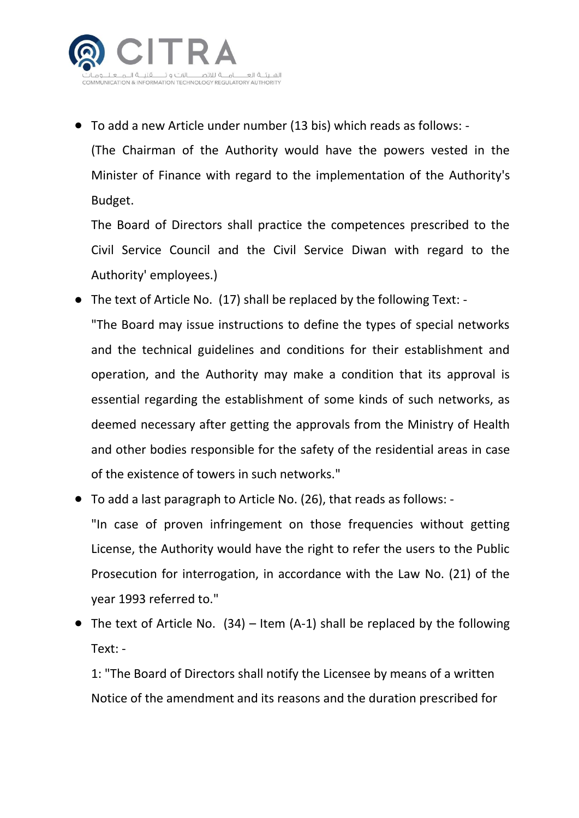

● To add a new Article under number (13 bis) which reads as follows: -

(The Chairman of the Authority would have the powers vested in the Minister of Finance with regard to the implementation of the Authority's Budget.

The Board of Directors shall practice the competences prescribed to the Civil Service Council and the Civil Service Diwan with regard to the Authority' employees.)

- The text of Article No. (17) shall be replaced by the following Text: "The Board may issue instructions to define the types of special networks and the technical guidelines and conditions for their establishment and operation, and the Authority may make a condition that its approval is essential regarding the establishment of some kinds of such networks, as deemed necessary after getting the approvals from the Ministry of Health and other bodies responsible for the safety of the residential areas in case of the existence of towers in such networks."
- To add a last paragraph to Article No. (26), that reads as follows: "In case of proven infringement on those frequencies without getting License, the Authority would have the right to refer the users to the Public Prosecution for interrogation, in accordance with the Law No. (21) of the year 1993 referred to."
- The text of Article No.  $(34)$  Item  $(A-1)$  shall be replaced by the following Text: -

1: "The Board of Directors shall notify the Licensee by means of a written Notice of the amendment and its reasons and the duration prescribed for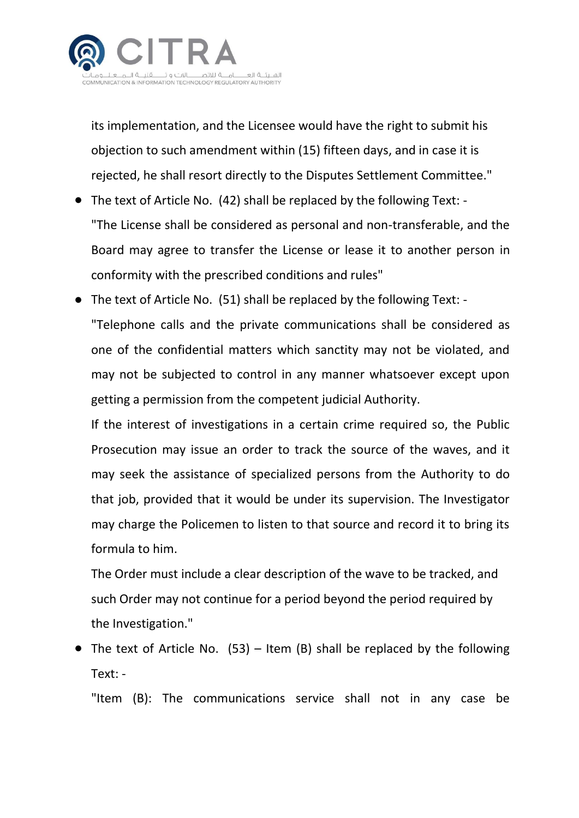

its implementation, and the Licensee would have the right to submit his objection to such amendment within (15) fifteen days, and in case it is rejected, he shall resort directly to the Disputes Settlement Committee."

- The text of Article No. (42) shall be replaced by the following Text: "The License shall be considered as personal and non-transferable, and the Board may agree to transfer the License or lease it to another person in conformity with the prescribed conditions and rules"
- The text of Article No. (51) shall be replaced by the following Text: "Telephone calls and the private communications shall be considered as one of the confidential matters which sanctity may not be violated, and may not be subjected to control in any manner whatsoever except upon getting a permission from the competent judicial Authority.

If the interest of investigations in a certain crime required so, the Public Prosecution may issue an order to track the source of the waves, and it may seek the assistance of specialized persons from the Authority to do that job, provided that it would be under its supervision. The Investigator may charge the Policemen to listen to that source and record it to bring its formula to him.

The Order must include a clear description of the wave to be tracked, and such Order may not continue for a period beyond the period required by the Investigation."

 $\bullet$  The text of Article No. (53) – Item (B) shall be replaced by the following Text: -

"Item (B): The communications service shall not in any case be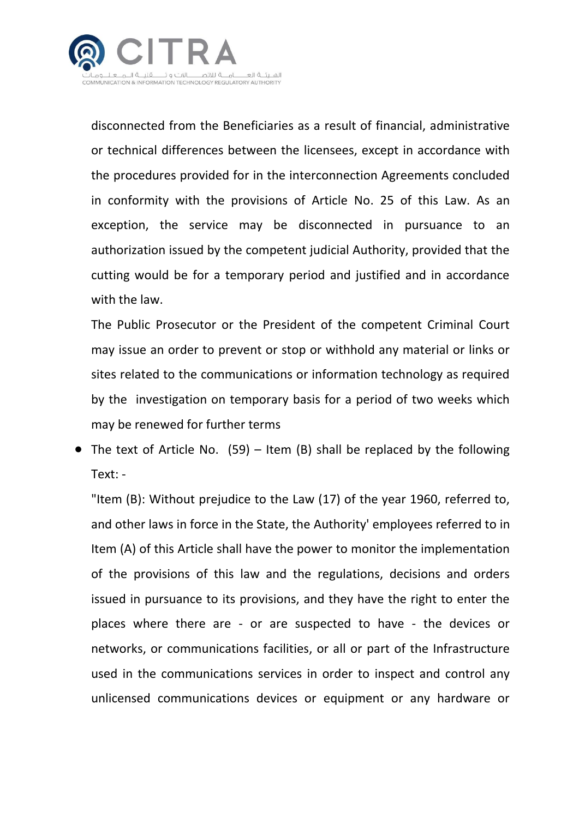

disconnected from the Beneficiaries as a result of financial, administrative or technical differences between the licensees, except in accordance with the procedures provided for in the interconnection Agreements concluded in conformity with the provisions of Article No. 25 of this Law. As an exception, the service may be disconnected in pursuance to an authorization issued by the competent judicial Authority, provided that the cutting would be for a temporary period and justified and in accordance with the law.

The Public Prosecutor or the President of the competent Criminal Court may issue an order to prevent or stop or withhold any material or links or sites related to the communications or information technology as required by the investigation on temporary basis for a period of two weeks which may be renewed for further terms

• The text of Article No.  $(59)$  – Item (B) shall be replaced by the following Text: -

"Item (B): Without prejudice to the Law (17) of the year 1960, referred to, and other laws in force in the State, the Authority' employees referred to in Item (A) of this Article shall have the power to monitor the implementation of the provisions of this law and the regulations, decisions and orders issued in pursuance to its provisions, and they have the right to enter the places where there are - or are suspected to have - the devices or networks, or communications facilities, or all or part of the Infrastructure used in the communications services in order to inspect and control any unlicensed communications devices or equipment or any hardware or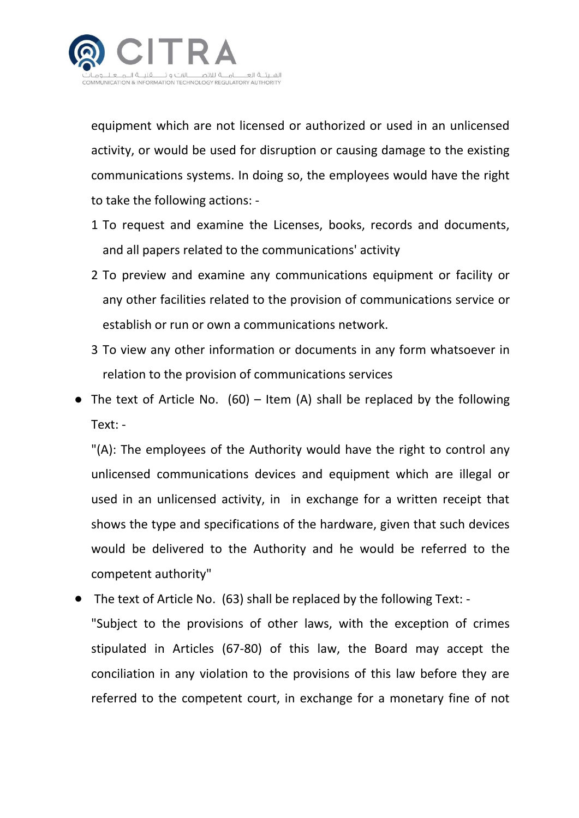

equipment which are not licensed or authorized or used in an unlicensed activity, or would be used for disruption or causing damage to the existing communications systems. In doing so, the employees would have the right to take the following actions: -

- 1 To request and examine the Licenses, books, records and documents, and all papers related to the communications' activity
- 2 To preview and examine any communications equipment or facility or any other facilities related to the provision of communications service or establish or run or own a communications network.
- 3 To view any other information or documents in any form whatsoever in relation to the provision of communications services
- The text of Article No.  $(60)$  Item (A) shall be replaced by the following Text: -

"(A): The employees of the Authority would have the right to control any unlicensed communications devices and equipment which are illegal or used in an unlicensed activity, in in exchange for a written receipt that shows the type and specifications of the hardware, given that such devices would be delivered to the Authority and he would be referred to the competent authority"

The text of Article No.  $(63)$  shall be replaced by the following Text: -"Subject to the provisions of other laws, with the exception of crimes stipulated in Articles (67-80) of this law, the Board may accept the conciliation in any violation to the provisions of this law before they are referred to the competent court, in exchange for a monetary fine of not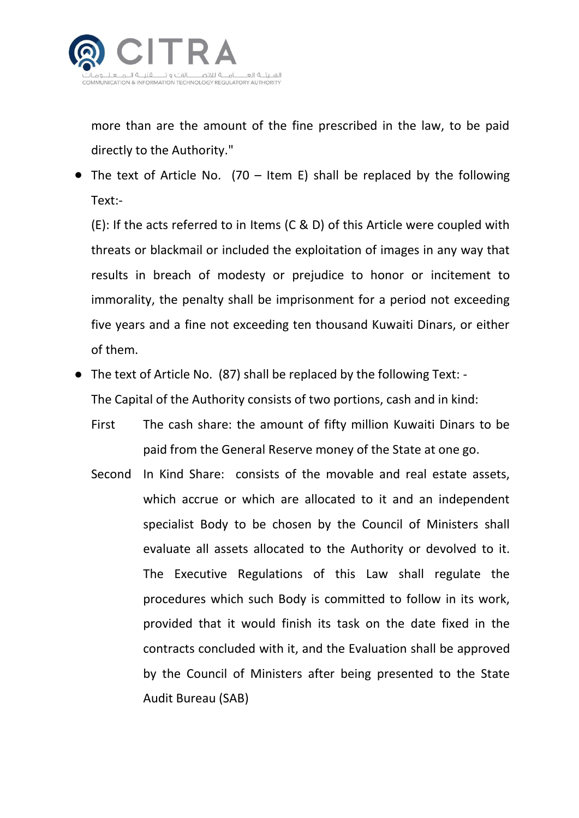

more than are the amount of the fine prescribed in the law, to be paid directly to the Authority."

• The text of Article No. (70 – Item E) shall be replaced by the following Text:-

(E): If the acts referred to in Items (C & D) of this Article were coupled with threats or blackmail or included the exploitation of images in any way that results in breach of modesty or prejudice to honor or incitement to immorality, the penalty shall be imprisonment for a period not exceeding five years and a fine not exceeding ten thousand Kuwaiti Dinars, or either of them.

- The text of Article No. (87) shall be replaced by the following Text: The Capital of the Authority consists of two portions, cash and in kind:
	- First The cash share: the amount of fifty million Kuwaiti Dinars to be paid from the General Reserve money of the State at one go.
	- Second In Kind Share: consists of the movable and real estate assets, which accrue or which are allocated to it and an independent specialist Body to be chosen by the Council of Ministers shall evaluate all assets allocated to the Authority or devolved to it. The Executive Regulations of this Law shall regulate the procedures which such Body is committed to follow in its work, provided that it would finish its task on the date fixed in the contracts concluded with it, and the Evaluation shall be approved by the Council of Ministers after being presented to the State Audit Bureau (SAB)